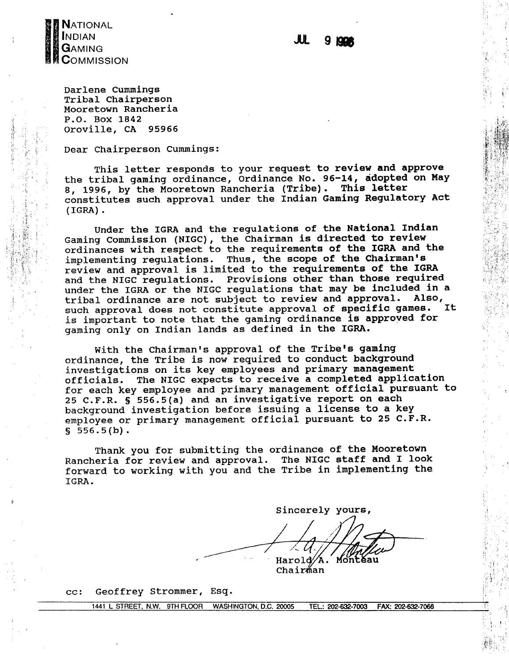

Darlene Cummings Tribal Chairperson Mooretown Rancheria P.O. Box 1842 Oroville, CA 95966

Dear Chairperson Cummings:

This letter responds to your request to review and approve the tribal gaming ordinance, Ordinance No. 96-14, adopted on May 8, 1996, by the Mooretown Rancheria (Tribe). This letter constitutes such approval under the Indian Gaming Regulatory Act  $(IGRA)$ .

Under the IGRA and the regulations of the National Indian Gaming Commission (NIGC), the Chairman is directed to review ordinances with respect to the requirements of the IGRA and the implementing regulations. Thus, the scope of the Chairman's review and approval is limited to the requirements of the IGRA and the NIGC regulations. Provisions other than those required under the IGRA or the NIGC regulations that may be included in a tribal ordinance are not subject to review and approval. Also, such approval does not constitute approval of specific games. It. is important to note that the gaming ordinance is approved for gaming only on Indian lands as defined in the IGRA.

With the Chairman's approval of the Tribe's gaming ordinance, the Tribe is now required to conduct background investigations on its key employees and primary management officials. The NIGC expects to receive a completed application for each key employee and primary management official pursuant to 25 C.F.R. § 556.5(a) and an investigative report on each background investigation before issuing a license to a key employee or primary management official pursuant to 25 C.F.R.  $$556.5(b).$ 

Thank you for submitting the ordinance of the Mooretown Rancheria for review and approval. The NIGC staff and I look forward to working with you and the Tribe in implementing the IGRA.

Sincerely yours, Monteau Harold Ά.

Chairman

Geoffrey Strommer, Esq.  $cc:$ 

> 1441 L STREET, N.W. 9TH FLOOR WASHINGTON, D.C. 20005 TEL.: 202-632-7003 FAX: 202-632-7066

#### JU. 9 1991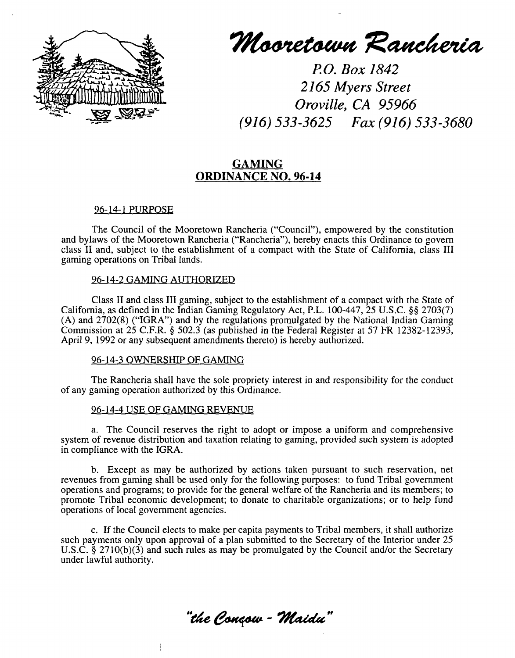

**Mooretown Rancheria** 

**P.O. Box 1842 2165 Myers Street Oroville, CA 95966 (916) 533-3625 Fax (916) 533-3680**

# **GAMING ORDINANCE NO. 96-14**

## **96-14-1 PURPOSE**

**The Council of the Mooretown Rancheria (Council), empowered by the constitution and bylaws of the Mooretown Rancheria (Rancheria), hereby enacts this Ordinance to govern class II and, subject to the establishment of <sup>a</sup> compact with the State of California, class III gaming operations on Tribal lands.**

### **96-14-2 GAMING AUTHORIZED**

**Class II and class III gaming, subject to the establishment of <sup>a</sup> compact with the State of California, as defined in the Indian Gaming Regulatory Act, P.L. 100-447, 25 U.S.C. §~ 2703(7) (A) and 2702(8) (IGRA) and by the regulations promulgated by the National Indian Gaming Commission at 25 C.F.R. § 502.3 (as published in the Federal Register at 57 FR 12382-12393, April 9, 1992 or any subsequent amendments thereto) is hereby authorized.**

#### **96-14-3 OWNERSHIP OF GAMING**

**The Rancheria shall have the sole propriety interest in and responsibility for the conduct of any gaming operation authorized by this Ordinance.**

#### **96-14-4 USE OF GAMING REVENUE**

**a. The Council reserves the right to adopt or impose <sup>a</sup> uniform and comprehensive system of revenue distribution and taxation relating to gaming, provided such system is adopted in compliance with the IGRA.**

**b. Except as may be authorized by actions taken pursuant to such reservation, net revenues from gaming shall be used only for the following purposes: to fund Tribal government operations and programs; to provide for the general welfare of the Rancheria and its members; to promote Tribal economic development; to donate to charitable organizations; or to help fund operations of local government agencies.**

**c. If the Council elects to make per capita payments to Tribal members, it shall authorize such payments only upon approval of <sup>a</sup> plan submitted to the Secretary of the Interior under 25 U.S.C. § 2710(b)(3) and such rules as may be promulgated by the Council and/or the Secretary under lawful authority.**

**"t**he Conçow - Maidu"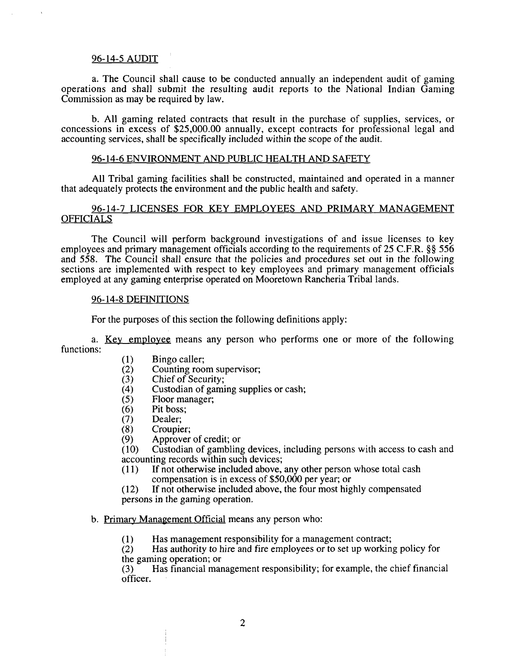### **96-14-5 AUDIT**

**a. The Council shall cause to be conducted annually an independent audit of gaming operations and shall submit the resulting audit reports to the National Indian Gaming Commission as may be required by law.**

**b. All gaming related contracts that result in the purchase of supplies, services, or concessions in excess of \$25,000.00 annually, except contracts for professional legal and accounting services, shall be specifically included within the scope of the audit.**

#### **96-14-6 ENVIRONMENT AND PUBLIC HEALTH AND SAFETY**

**All Tribal gaming facilities shall be constructed, maintained and operated in a manner that adequately protects the environment and the public health and safety.**

# **96-14-7 LICENSES FOR KEY EMPLOYEES AND PRIMARY MANAGEMENT OFFICIALS**

**The Council will perform background investigations of and issue licenses to key employees and primary management officials according to the requirements of 25 C.F.R. §~ 556 and 558. The Council shall ensure that the policies and procedures set out in the following sections are implemented with respect to key employees and primary management officials employed at any gaming enterprise operated on Mooretown Rancheria Tribal lands.**

#### **96-14-8 DEFINiTIONS**

**For the purposes of this section the following definitions apply:**

**a. Key employee means any person who performs one or more of the following functions:**

- **(1) Bingo caller;**
- **(2) Counting room supervisor;**
- **(3) Chief of Security;**
- **(4) Custodian of gaming supplies or cash;**
- **(5) Floor manager;**
- **(6) Pit boss;**
- **(7) Dealer;**
- **(8) Croupier;**
- **(9) Approver of credit; or**

**(10) Custodian of gambling devices, including persons with access to cash and accounting records within such devices;**

- **(11) If not otherwise included above, any other person whose total cash compensation is in excess of \$50,000 per year; or**
- **(12) If not otherwise included above, the four most highly compensated persons in the gaming operation.**

# **b. Primary Management Official means any person who:**

**(1) Has management responsibility for <sup>a</sup> management contract;**

**(2) Has authority to hire and fire employees or to set up working policy for the gaming operation; or**

**(3) Has financial management responsibility; for example, the chief financial officer.**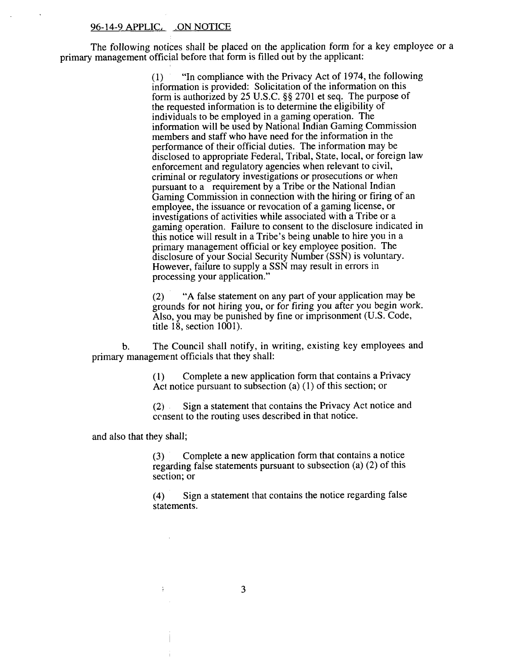#### **96-14-9 APPLIC~ ~ON NOTICE**

**The following notices shall be placed on the application form for <sup>a</sup> key employee or <sup>a</sup> primary management official before that form is filled out by the applicant:**

> **(1) In compliance with the Privacy Act of 1974, the following information is provided: Solicitation of the information on this form is authorized by 25 U.S.C. §~ 2701 et seq. The purpose of the requested information is to determine the eligibility of individuals to be employed in <sup>a</sup> gaming operation. The information will be used by National Indian Gaming Commission members and staff who have need for the information in the performance of their official duties. The information may be disclosed to appropriate Federal, Tribal, State, local, or foreign law enforcement and regulatory agencies when relevant to civil, criminal or regulatory investigations or prosecutions or when pursuant to <sup>a</sup> requirement by <sup>a</sup> Tribe or the National Indian Gaming Commission in connection with the hiring or firing of an employee, the issuance or revocation of <sup>a</sup> gaming license, or investigations of activities while associated with <sup>a</sup> Tribe or <sup>a</sup> gaming operation. Failure to consent to the disclosure indicated in this notice will result in a Tribes being unable to hire you in a primary management official or key employee position. The disclosure of your Social Security Number (SSN) is voluntary. However, failure to supply <sup>a</sup> SSN may result in errors in processing your application.**

> **(2) A false statement on any part of your application may be grounds for not hiring you, or for firing you after you begin work. Also, you may be punished by fine or imprisonment (U.S. Code, title 18, section 1001).**

**b. TheCouncil shall notify, in writing, existing key employees and primary management officials that they shall:**

> **(1) Complete <sup>a</sup> new application form that contains <sup>a</sup> Privacy Act notice pursuant to subsection (a) (1) of this section; or**

> **(2) Sign <sup>a</sup> statement that contains the Privacy Act notice and censent to the routing uses described in that notice.**

**and also that they shall;**

 $\mathbf{i}$ 

**(3) Complete <sup>a</sup> new application form that contains <sup>a</sup> notice regarding false statements pursuant to subsection (a) (2) of this section; or**

**(4) Sign <sup>a</sup> statement that contains the notice regarding false statements.**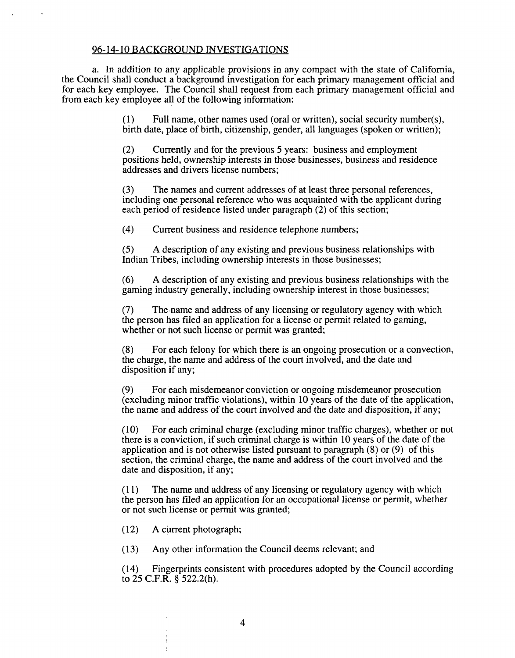# **96-14-10 BACKGROUND INVESTIGATIONS**

**a. In addition to any applicable provisions in any compact with the state of California, the Council shall conduct <sup>a</sup> background investigation for each primary management official and for each key employee. The Council shall request from each primary management official and from each key employee all of the following information:**

> **(1) Full name, other names used (oral or written), social security number(s), birth date, place of birth, citizenship, gender, all languages (spoken or written);**

**(2) Currently and for the previous <sup>5</sup> years: business and employment positions held, ownership interests in those businesses, business and residence addresses and drivers license numbers;**

**(3) The names and current addresses of at least three personal references, including one personal reference who was acquainted with the applicant during each period of residence listed under paragraph (2) of this section;**

**(4) Current business and residence telephone numbers;**

**(5) A description of any existing and previous business relationships with Indian Tribes, including ownership interests in those businesses;**

**(6) A description of any existing and previous business relationships with the gaming industry generally, including ownership interest in those businesses;**

**(7) The name and address of any licensing or regulatory agency with which the person has filed an application for <sup>a</sup> license or permit related to gaming, whether or not such license or permit was granted;**

**(8) For each felony for which there is an ongoing prosecution or a convection, the charge, the name and address of the court involved, and the date and disposition if any;**

**(9) For each misdemeanor conviction or ongoing misdemeanor prosecution (excluding minor traffic violations), within 10 years of the date of the application, the name and address of the court involved and the date and disposition, if any;**

**(10) For each criminal charge (excluding minor traffic charges), whether or not there is <sup>a</sup> conviction, if such criminal charge is within 10 years of the date of the application and is not otherwise listed pursuant to paragraph (8) or (9) of this section, the criminal charge, the name and address of the court involved and the date and disposition, if any;**

**(11) The name and address of any licensing or regulatory agency with which the person has filed an application for an occupational license or permit, whether or not such license or permit was granted;**

**(12) A current photograph;**

**(13) Any other information the Council deems relevant; and**

**(14) Fingerprints consistent with procedures adopted by the Council according to 25 C.F.R. § 522.2(h).**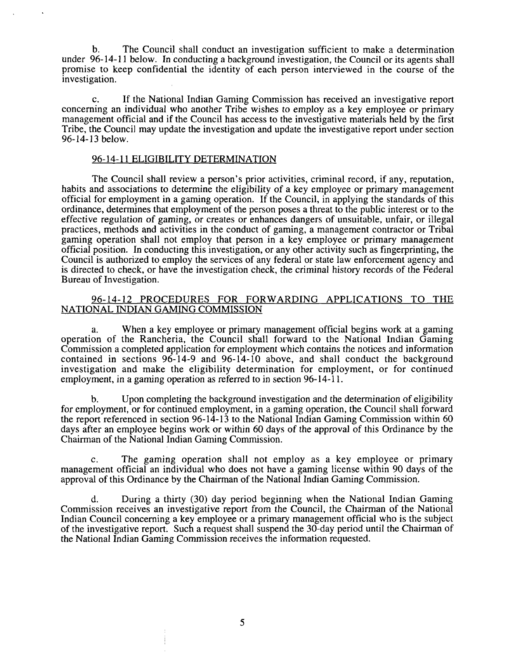**b. The Council shall conduct an investigation sufficient to make <sup>a</sup> determination under 96-14-11 below. In conducting <sup>a</sup> background investigation, the Council or its agents shall promise to keep confidential the identity of each person interviewed in the course of the investigation.**

**c. If the National Indian Gaming Commission has received an investigative report concerning an individual who another Tribe wishes to employ as <sup>a</sup> key employee or primary management official and if the Council has access to the investigative materials held by the first Tribe, the Council may update the investigation and update the investigative report under section 96-14-13 below.**

## **96-14-11 ELIGIBILITY DETERMINATION**

**The** Council shall review a person's prior activities, criminal record, if any, reputation, **habits and associations to determine the eligibility of <sup>a</sup> key employee or primary management official for employment in a gaming operation. If the Council, in applying the standards of this ordinance, determines that employment of the person poses <sup>a</sup> threat to the public interest or to the effective regulation of gaming, or creates or enhances dangers of unsuitable, unfair, or illegal practices, methods and activities in the conduct of gaming, <sup>a</sup> management contractor or Tribal gaming operation shall not employ that person in a key employee or primary management official position. In conducting this investigation, or any other activity such as fingerprinting, the Council is authorized to employ the services of any federal or state law enforcement agency and is directed to check, or have the investigation check, the criminal history records of the Federal Bureau of Investigation.**

# **96-14-12 PROCEDURES FOR FORWARDING APPLICATIONS TO THE NATIONAL INDIAN GAMING COMMISSION**

**a. When <sup>a</sup> key employee or primary management official begins work at <sup>a</sup> gaming operation of the Rancheria, the Council shall forward to the National Indian Gaming Commission <sup>a</sup> completed application for employment which contains the notices and information contained in sections 96-14-9 and 96-14-10 above, and shall conduct the background investigation and make the eligibility determination for employment, or for continued employment, in a gaming operation as referred to in section 96-14-11.**

**b. Upon completing the background investigation and the determination of eligibility for employment, or for continued employment, in a gaming operation, the Council shall forward the report referenced in section 96-14-13 to the National Indian Gaming Commission within 60 days after an employee begins work or within 60 days of the approval of this Ordinance by the Chairman of the National Indian Gaming Commission.**

**c. The gaming operation shall not employ as <sup>a</sup> key employee or primary management official an individual who does not have <sup>a</sup> gaming license within 90 days of the approval of this Ordinance by the Chairman of the National Indian Gaming Commission.**

**d. During <sup>a</sup> thirty (30) day period beginning when the National Indian Gaming Commission receives an investigative report from the Council, the Chairman of the National Indian Council concerning <sup>a</sup> key employee or <sup>a</sup> primary management official who is the subject of the investigative report. Such <sup>a</sup> request shall suspend the 30-day period until the Chairman of the National Indian Gaming Commission receives the information requested.**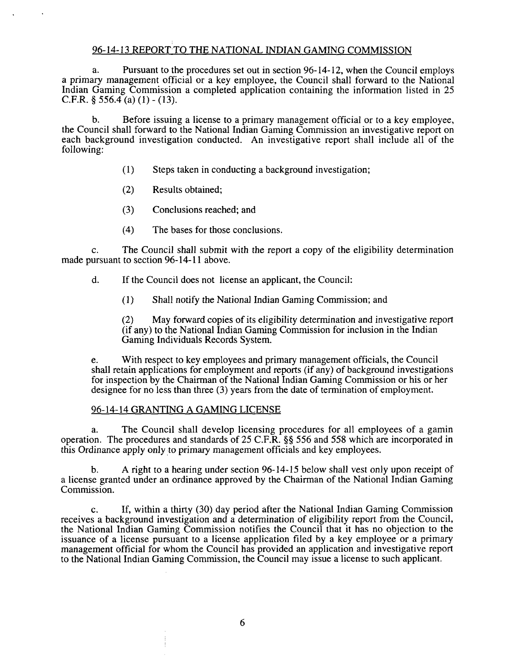# **96-14-13 REPORTTO THE NATIONAL INDIAN GAMING COMMISSION**

**a. Pursuant to the procedures set out in section 96- 14-12, when the Council employs <sup>a</sup> primary management official or <sup>a</sup> key employee, the Council shall forward to the National Indian Gaming Commission <sup>a</sup> completed application containing the information listed in 25 C.F.R. § 556.4 (a) (1) - (13).**

**b. Before issuing <sup>a</sup> license to <sup>a</sup> primary management official or to <sup>a</sup> key employee, the Council shall forward to the National Indian Gaming Commission an investigative report on each background investigation conducted. An investigative report shall include all of the following:**

- **(1) Steps taken in conducting a background investigation;**
- **(2) Results obtained;**
- **(3) Conclusions reached; and**
- **(4) The bases for those conclusions.**

**c. The Council shall submit with the report <sup>a</sup> copy of the eligibility determination made pursuant to section 96-14-11 above.**

**d. If the Council does not license an applicant, the Council:**

**(1) Shall notify the National Indian Gaming Commission; and**

**(2) May forward copies of its eligibility determination and investigative report (if any) to the National Indian Gaming Commission for inclusion in the Indian Gaming Individuals Records System.**

**e. With respect to key employees and primary management officials, the Council shall retain applications for employment and reports (if any) of background investigations for inspection by the Chairman of the National Indian Gaming Commission or his or her designee for no less than three (3) years from the date of termination of employment.**

# **96-14-14 GRANTLNG A GAMING LICENSE**

**a. The Council shall develop licensing procedures for all employees of <sup>a</sup> gamin operation. The procedures and standards of 25 C.F.R. §~ 556 and 558 which are incorporated in this Ordinance apply only to primary management officials and key employees.**

**b. A right to <sup>a</sup> hearing under section 96-14-15 below shall vest only upon receipt of <sup>a</sup> license granted under an ordinance approved by the Chairman of the National Indian Gaming Commission.**

**c. If, within <sup>a</sup> thirty (30) day period after the National Indian Gaming Commission receives <sup>a</sup> background investigation and <sup>a</sup> determination of eligibility report from the Council, the National Indian Gaming Commission notifies the Council that it has no objection to the issuance of a license pursuant to a license application filed by <sup>a</sup> key employee or a primary management official for whom the Council has provided an application and investigative report to the National Indian Gaming Commission, the Council may issue <sup>a</sup> license to such applicant.**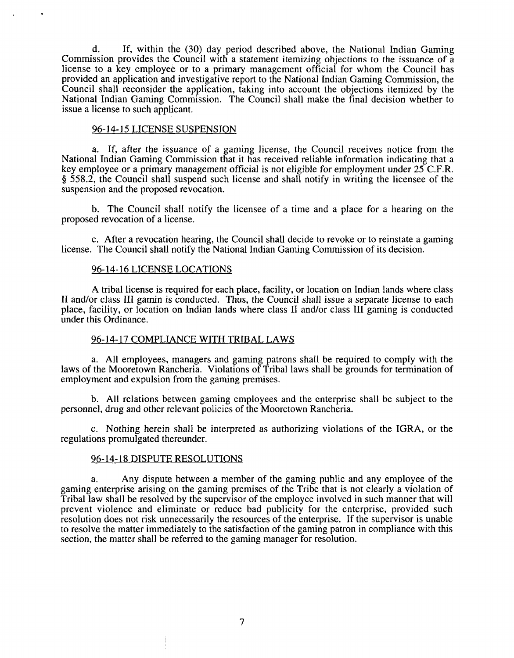**d. If, within the (30) day period described above, the National Indian Gaming Commission provides the Council with <sup>a</sup> statement itemizing objections to the issuance of <sup>a</sup> license to <sup>a</sup> key employee or to <sup>a</sup> primary management official for whom the Council has provided an application and investigative report to the National Indian Gaming Commission, the Council shall reconsider the application, taking into account the objections itemized by the National Indian Gaming Commission. The Council shall make the final decision whether to issue a license to such applicant.**

#### **96-14-15 LICENSE SUSPENSION**

**a. If, after the issuance of <sup>a</sup> gaming license, the Council receives notice from the National Indian Gaming Commission that it has received reliable information indicating that <sup>a</sup> key employee or <sup>a</sup> primary management official is not eligible for employment under 25 C.F.R. § 558.2, the Council shall suspend such license and shall notify in writing the licensee of the suspension and the proposed revocation.**

**b. The Council shall notify the licensee of <sup>a</sup> time and <sup>a</sup> place for <sup>a</sup> hearing on the proposed revocation of a license.**

**c. After a revocation hearing, the Council shall decide to revoke or to reinstate a gaming license. The Council shallnotify the National Indian Gaming Commission of its decision.**

#### **96-14-16 LICENSE LOCATIONS**

**A tribal license is required for each place, facility, or location on Indian lands where class II and/or class III gamin is conducted. Thus, the Council shall issue <sup>a</sup> separate license to each place, facility, or location on Indian lands where class II and/or class III gaming is conducted under this Ordinance.**

#### **96-14-17 COMPLIANCE WITH TRIBAL LAWS**

**a. All employees, managers and gaming patrons shall be required to comply with the laws** of the Mooretown Rancheria. Violations of Tribal laws shall be grounds for termination of **employment and expulsion from the gaming premises.**

**b. All relations between gaming employees and the enterprise shall be subject to the personnel, drug and other relevant policies of the Mooretown Rancheria.**

**c. Nothing herein shall be interpreted as authorizing violations of the IGRA, or the regulations promulgated thereunder.**

#### **96-14-18 DISPUTE RESOLUTIONS**

**a. Any dispute between <sup>a</sup> member of the gaming public and any employee of the gaming enterprise arising on the gaming premises of the Tribe that is not clearly <sup>a</sup> violation of Tribal law shall be resolved by the supervisor of the employee involved in such manner that will prevent violence and eliminate or reduce bad publicity for the enterprise, provided such resolution does not risk unnecessarily the resources of the enterprise. If the supervisor is unable to resolve the matter immediately to the satisfaction of the gaming patron in compliance with this section, the matter shall be referred to the gaming manager for resolution.**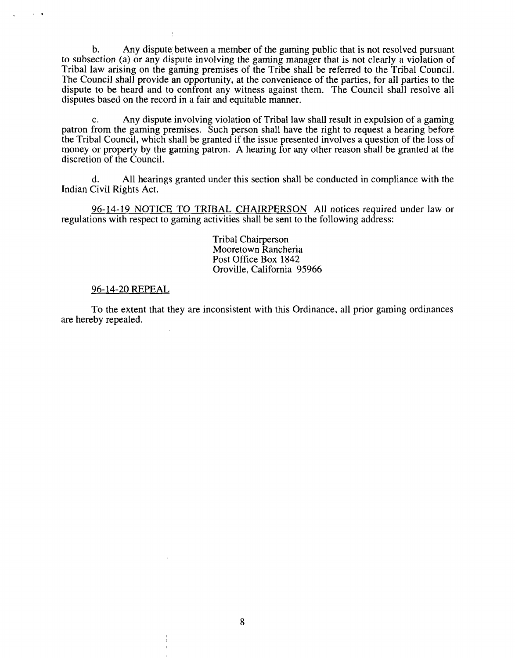**b. Any dispute~ between <sup>a</sup> member of the gaming public that is not resolved pursuant to subsection (a) or any dispute involving the gaming manager that is not clearly <sup>a</sup> violation of Tribal law arising on the gaming premises of the Tribe shall be referred to the Tribal Council. The Council shall provide an opportunity, at the convenience of the parties, for all parties to the dispute to be heard and to confront any witness against them. The Council shall resolve all disputes based on the record in a fair and equitable manner.**

**c. Any dispute involving violation of Tribal law shall result in expulsion of <sup>a</sup> gaming patron from the gaming premises. Such person shall have the right to request <sup>a</sup> hearing before** the Tribal Council, which shall be granted if the issue presented involves a question of the loss of **money or property by the gaming patron. A hearing for any other reason shall be granted at the discretion of the Council.**

**d. All hearings granted under this section shall be conducted in compliance with the Indian Civil Rights Act.**

**96-14-19 NOTICE TO TRIBAL CHAIRPERSON All notices required under law or regulations with respect to gaming activities shall be sent to the following address:**

> **Tribal Chairperson Mooretown Rancheria Post Office Box 1842 Oroville, California 95966**

#### **96-14-20 REPEAL**

 $\sim$   $\sim$ 

**To the extent that they are inconsistent with this Ordinance, all prior gaming ordinances are hereby repealed.**